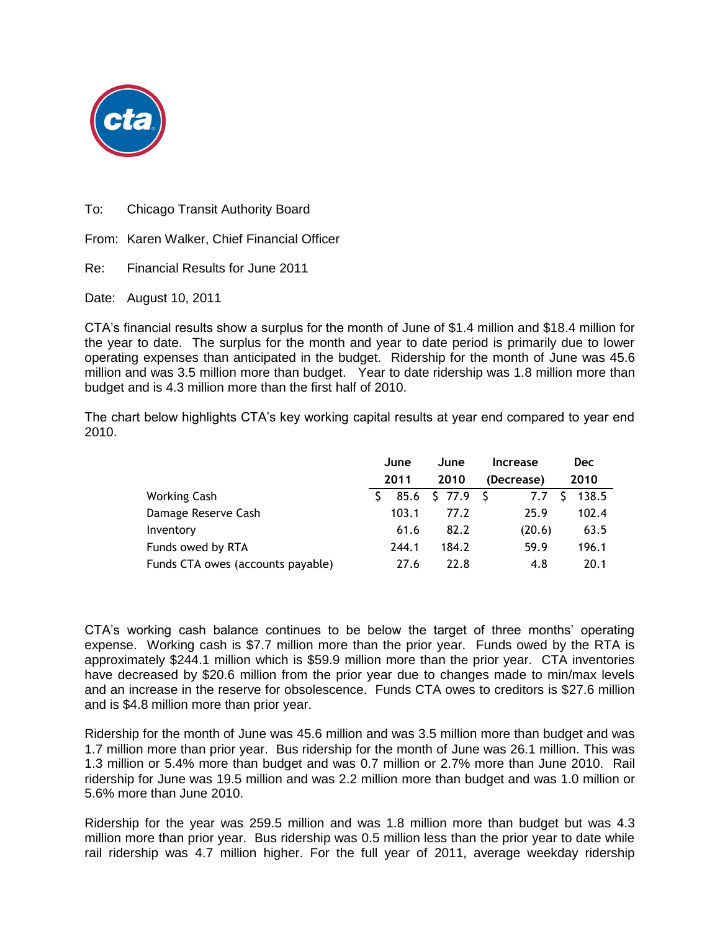

To: Chicago Transit Authority Board

From: Karen Walker, Chief Financial Officer

Re: Financial Results for June 2011

Date: August 10, 2011

CTA's financial results show a surplus for the month of June of \$1.4 million and \$18.4 million for the year to date. The surplus for the month and year to date period is primarily due to lower operating expenses than anticipated in the budget. Ridership for the month of June was 45.6 million and was 3.5 million more than budget. Year to date ridership was 1.8 million more than budget and is 4.3 million more than the first half of 2010.

The chart below highlights CTA's key working capital results at year end compared to year end 2010.

|                                   | June  | June            | <b>Increase</b> | <b>Dec</b> |
|-----------------------------------|-------|-----------------|-----------------|------------|
|                                   | 2011  | 2010            | (Decrease)      | 2010       |
| <b>Working Cash</b>               |       | 85.6 \$ 77.9 \$ | 7.7 S           | 138.5      |
| Damage Reserve Cash               | 103.1 | 77.2            | 25.9            | 102.4      |
| Inventory                         | 61.6  | 82.2            | (20.6)          | 63.5       |
| Funds owed by RTA                 | 244.1 | 184.2           | 59.9            | 196.1      |
| Funds CTA owes (accounts payable) | 27.6  | 22.8            | 4.8             | 20.1       |

CTA's working cash balance continues to be below the target of three months' operating expense. Working cash is \$7.7 million more than the prior year. Funds owed by the RTA is approximately \$244.1 million which is \$59.9 million more than the prior year. CTA inventories have decreased by \$20.6 million from the prior year due to changes made to min/max levels and an increase in the reserve for obsolescence. Funds CTA owes to creditors is \$27.6 million and is \$4.8 million more than prior year.

Ridership for the month of June was 45.6 million and was 3.5 million more than budget and was 1.7 million more than prior year. Bus ridership for the month of June was 26.1 million. This was 1.3 million or 5.4% more than budget and was 0.7 million or 2.7% more than June 2010. Rail ridership for June was 19.5 million and was 2.2 million more than budget and was 1.0 million or 5.6% more than June 2010.

Ridership for the year was 259.5 million and was 1.8 million more than budget but was 4.3 million more than prior year. Bus ridership was 0.5 million less than the prior year to date while rail ridership was 4.7 million higher. For the full year of 2011, average weekday ridership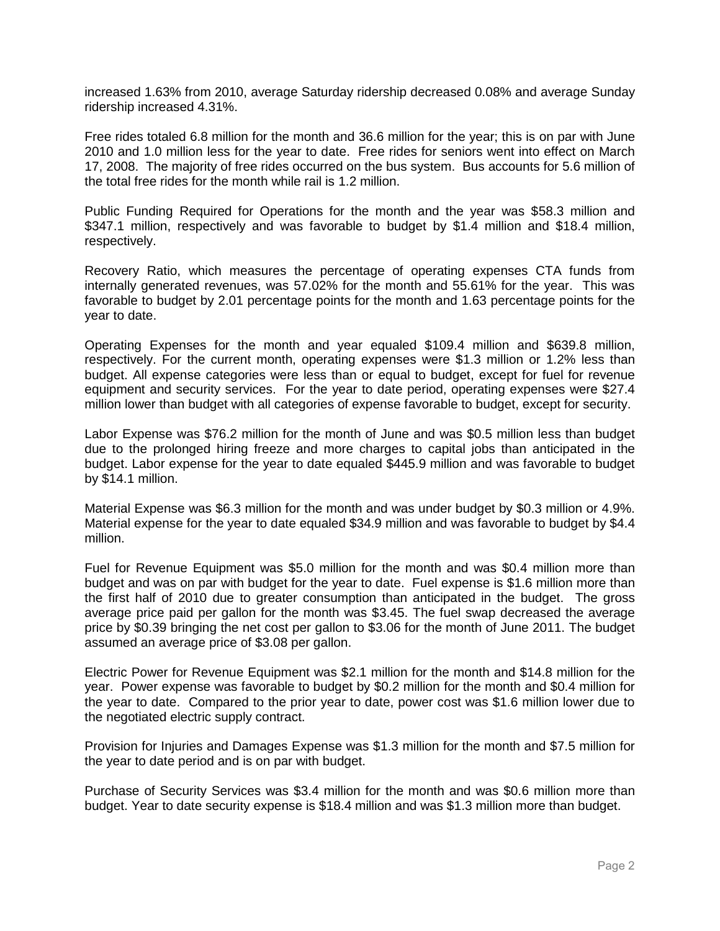increased 1.63% from 2010, average Saturday ridership decreased 0.08% and average Sunday ridership increased 4.31%.

Free rides totaled 6.8 million for the month and 36.6 million for the year; this is on par with June 2010 and 1.0 million less for the year to date. Free rides for seniors went into effect on March 17, 2008. The majority of free rides occurred on the bus system. Bus accounts for 5.6 million of the total free rides for the month while rail is 1.2 million.

Public Funding Required for Operations for the month and the year was \$58.3 million and \$347.1 million, respectively and was favorable to budget by \$1.4 million and \$18.4 million, respectively.

Recovery Ratio, which measures the percentage of operating expenses CTA funds from internally generated revenues, was 57.02% for the month and 55.61% for the year. This was favorable to budget by 2.01 percentage points for the month and 1.63 percentage points for the year to date.

Operating Expenses for the month and year equaled \$109.4 million and \$639.8 million, respectively. For the current month, operating expenses were \$1.3 million or 1.2% less than budget. All expense categories were less than or equal to budget, except for fuel for revenue equipment and security services. For the year to date period, operating expenses were \$27.4 million lower than budget with all categories of expense favorable to budget, except for security.

Labor Expense was \$76.2 million for the month of June and was \$0.5 million less than budget due to the prolonged hiring freeze and more charges to capital jobs than anticipated in the budget. Labor expense for the year to date equaled \$445.9 million and was favorable to budget by \$14.1 million.

Material Expense was \$6.3 million for the month and was under budget by \$0.3 million or 4.9%. Material expense for the year to date equaled \$34.9 million and was favorable to budget by \$4.4 million.

Fuel for Revenue Equipment was \$5.0 million for the month and was \$0.4 million more than budget and was on par with budget for the year to date. Fuel expense is \$1.6 million more than the first half of 2010 due to greater consumption than anticipated in the budget. The gross average price paid per gallon for the month was \$3.45. The fuel swap decreased the average price by \$0.39 bringing the net cost per gallon to \$3.06 for the month of June 2011. The budget assumed an average price of \$3.08 per gallon.

Electric Power for Revenue Equipment was \$2.1 million for the month and \$14.8 million for the year. Power expense was favorable to budget by \$0.2 million for the month and \$0.4 million for the year to date. Compared to the prior year to date, power cost was \$1.6 million lower due to the negotiated electric supply contract.

Provision for Injuries and Damages Expense was \$1.3 million for the month and \$7.5 million for the year to date period and is on par with budget.

Purchase of Security Services was \$3.4 million for the month and was \$0.6 million more than budget. Year to date security expense is \$18.4 million and was \$1.3 million more than budget.